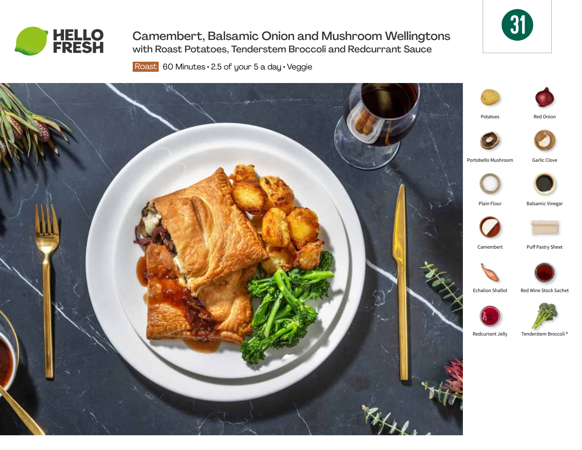

Camembert, Balsamic Onion and Mushroom Wellingtons with Roast Potatoes, Tenderstem Broccoli and Redcurrant Sauce



Roast 60 Minutes · 2.5 of your 5 a day · Veggie